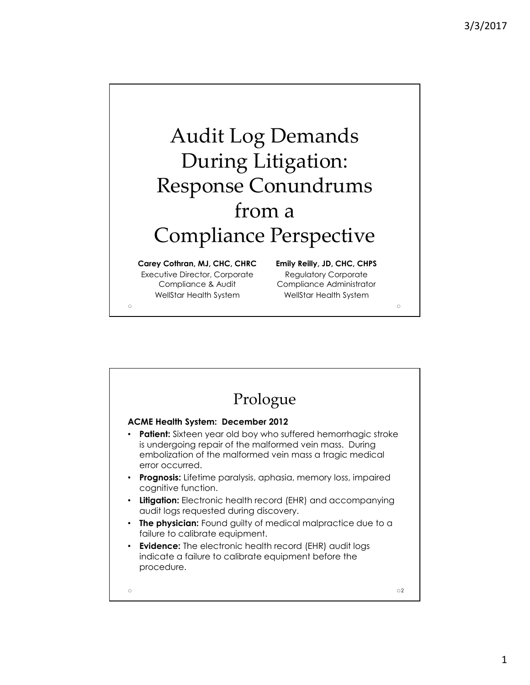

| Prologue                                                                                                                                                                                                       |
|----------------------------------------------------------------------------------------------------------------------------------------------------------------------------------------------------------------|
| <b>ACME Health System: December 2012</b>                                                                                                                                                                       |
| <b>Patient:</b> Sixteen year old boy who suffered hemorrhagic stroke<br>is undergoing repair of the malformed vein mass. During<br>embolization of the malformed vein mass a tragic medical<br>error occurred. |
| <b>Prognosis:</b> Lifetime paralysis, aphasia, memory loss, impaired<br>٠<br>cognitive function.                                                                                                               |
| <b>Litigation:</b> Electronic health record (EHR) and accompanying<br>audit logs requested during discovery.                                                                                                   |
| <b>The physician:</b> Found guilty of medical malpractice due to a<br>failure to calibrate equipment.                                                                                                          |
| <b>Evidence:</b> The electronic health record (EHR) audit logs<br>indicate a failure to calibrate equipment before the<br>procedure.                                                                           |
| $\circ$<br>Ö                                                                                                                                                                                                   |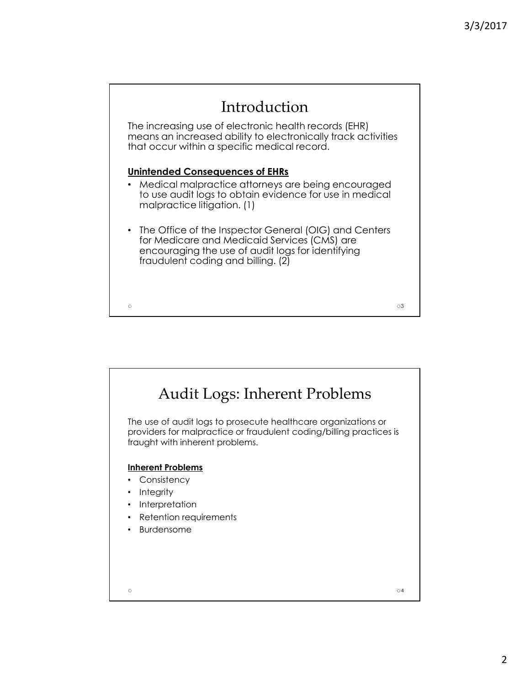

![](_page_1_Picture_2.jpeg)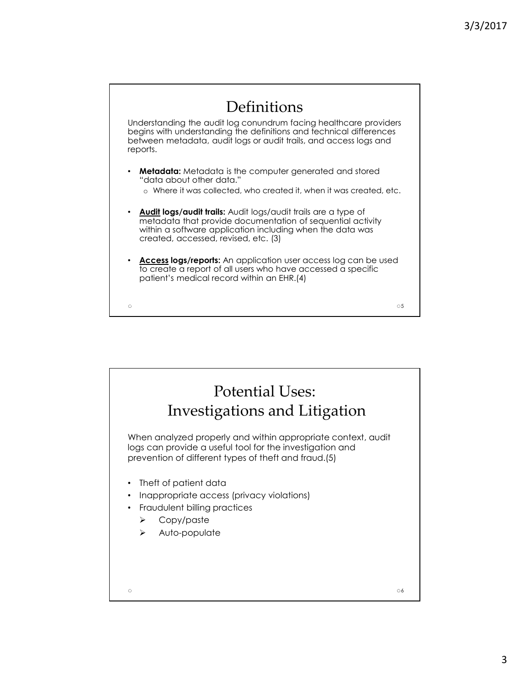![](_page_2_Figure_1.jpeg)

![](_page_2_Picture_2.jpeg)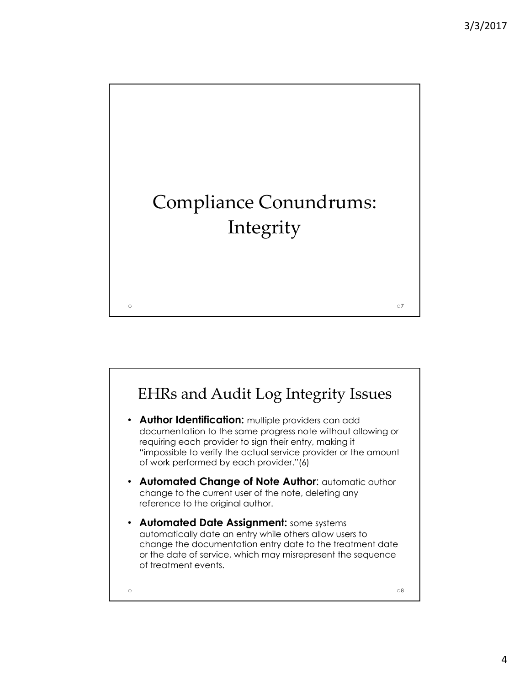![](_page_3_Figure_1.jpeg)

![](_page_3_Figure_2.jpeg)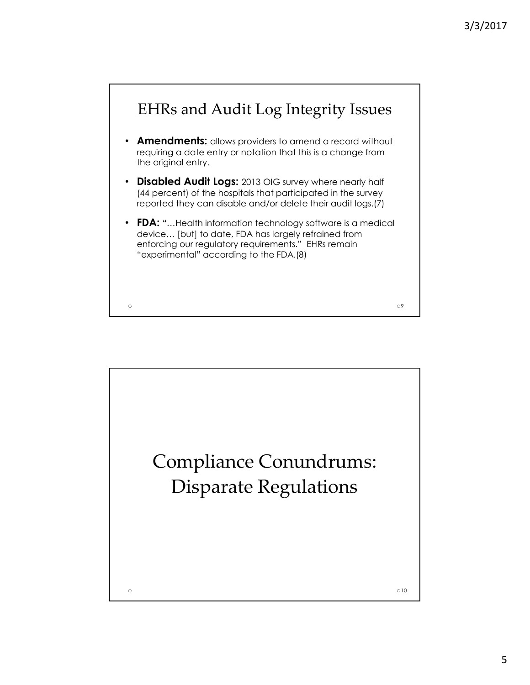![](_page_4_Figure_1.jpeg)

![](_page_4_Picture_2.jpeg)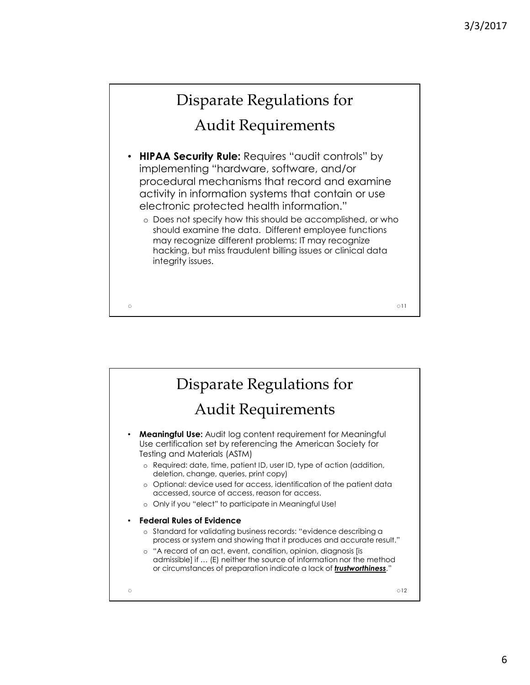011

## Disparate Regulations for

## Audit Requirements

- **HIPAA Security Rule:** Requires "audit controls" by implementing "hardware, software, and/or procedural mechanisms that record and examine activity in information systems that contain or use electronic protected health information."
	- o Does not specify how this should be accomplished, or who should examine the data. Different employee functions may recognize different problems: IT may recognize hacking, but miss fraudulent billing issues or clinical data integrity issues.

![](_page_5_Picture_6.jpeg)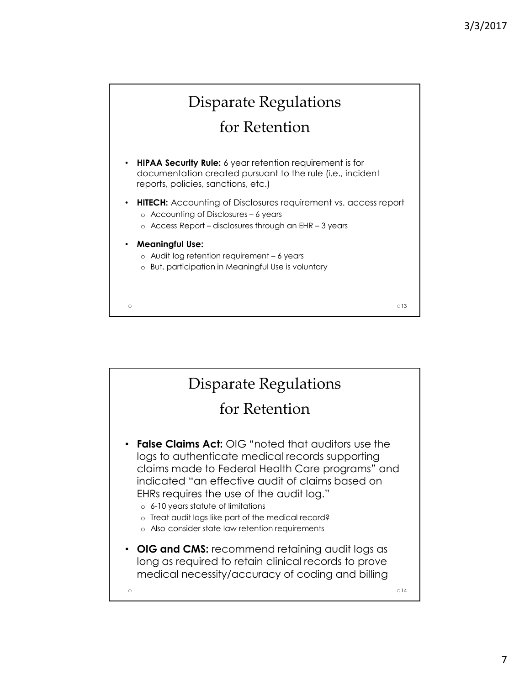![](_page_6_Figure_1.jpeg)

- **HIPAA Security Rule:** 6 year retention requirement is for documentation created pursuant to the rule (i.e., incident reports, policies, sanctions, etc.)
- **HITECH:** Accounting of Disclosures requirement vs. access report o Accounting of Disclosures – 6 years
	- o Access Report disclosures through an EHR 3 years
- **Meaningful Use:**
	- o Audit log retention requirement 6 years
	- o But, participation in Meaningful Use is voluntary

 $\circ$ 13

![](_page_6_Figure_9.jpeg)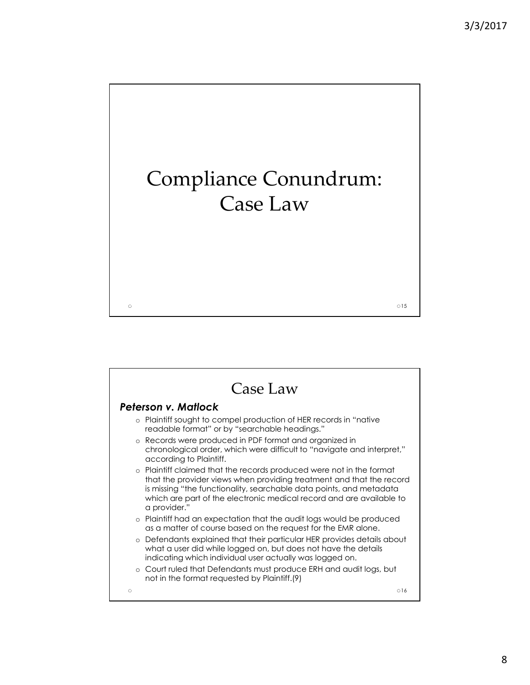![](_page_7_Picture_1.jpeg)

![](_page_7_Picture_2.jpeg)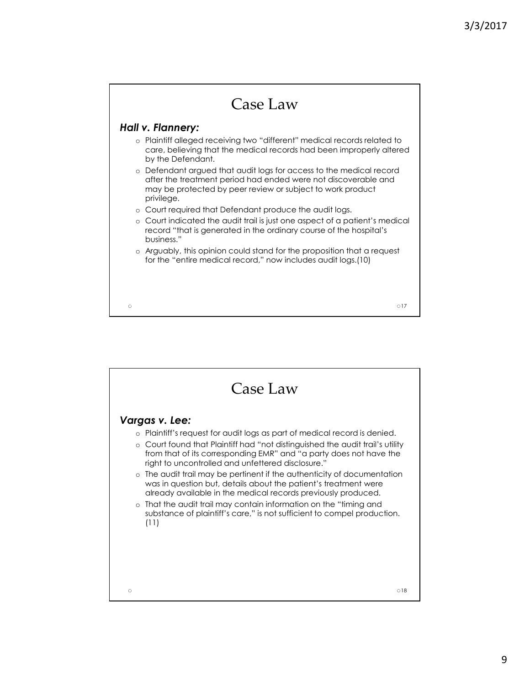![](_page_8_Figure_1.jpeg)

![](_page_8_Figure_2.jpeg)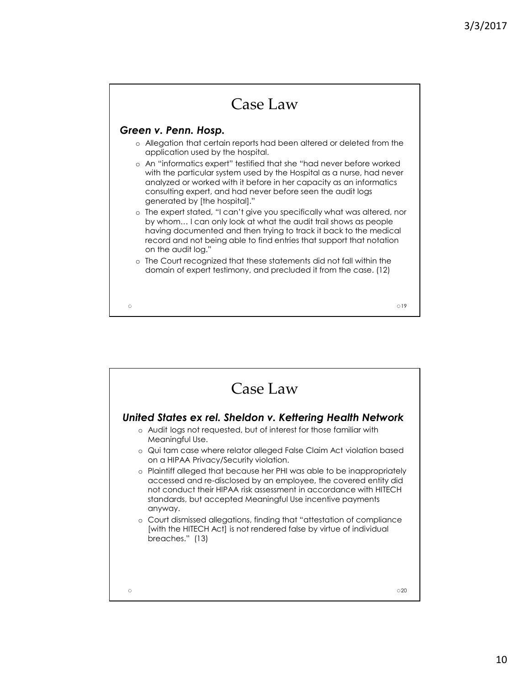![](_page_9_Figure_1.jpeg)

![](_page_9_Picture_2.jpeg)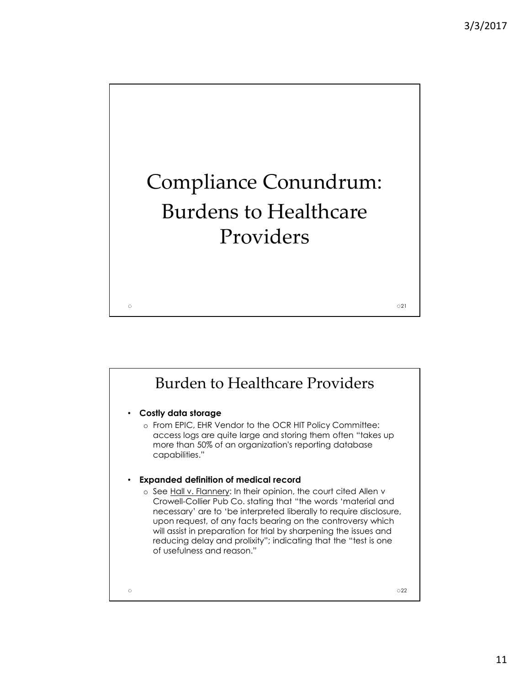$\circ$  21

![](_page_10_Picture_1.jpeg)

![](_page_10_Figure_2.jpeg)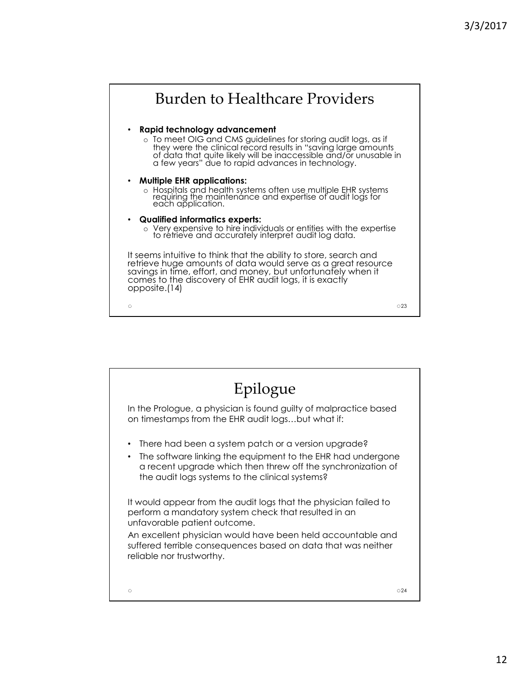![](_page_11_Figure_1.jpeg)

![](_page_11_Picture_2.jpeg)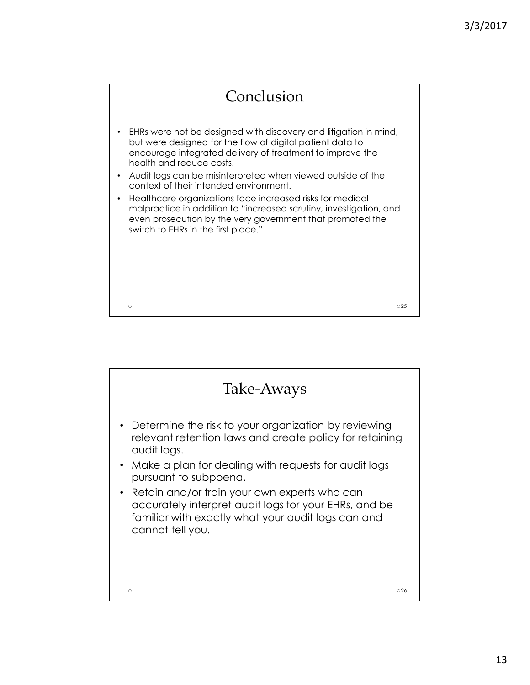![](_page_12_Figure_1.jpeg)

![](_page_12_Picture_2.jpeg)